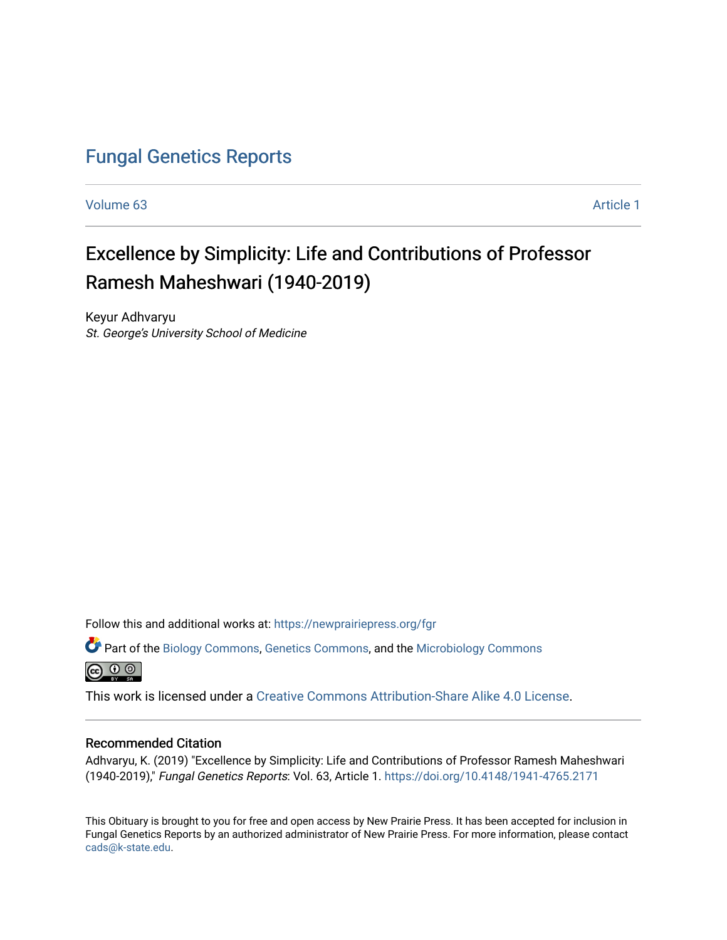# [Fungal Genetics Reports](https://newprairiepress.org/fgr)

[Volume 63](https://newprairiepress.org/fgr/vol63) [Article 1](https://newprairiepress.org/fgr/vol63/iss1/1) 

# Excellence by Simplicity: Life and Contributions of Professor Ramesh Maheshwari (1940-2019)

Keyur Adhvaryu St. George's University School of Medicine

Follow this and additional works at: [https://newprairiepress.org/fgr](https://newprairiepress.org/fgr?utm_source=newprairiepress.org%2Ffgr%2Fvol63%2Fiss1%2F1&utm_medium=PDF&utm_campaign=PDFCoverPages) 

Part of the [Biology Commons,](http://network.bepress.com/hgg/discipline/41?utm_source=newprairiepress.org%2Ffgr%2Fvol63%2Fiss1%2F1&utm_medium=PDF&utm_campaign=PDFCoverPages) [Genetics Commons,](http://network.bepress.com/hgg/discipline/29?utm_source=newprairiepress.org%2Ffgr%2Fvol63%2Fiss1%2F1&utm_medium=PDF&utm_campaign=PDFCoverPages) and the [Microbiology Commons](http://network.bepress.com/hgg/discipline/48?utm_source=newprairiepress.org%2Ffgr%2Fvol63%2Fiss1%2F1&utm_medium=PDF&utm_campaign=PDFCoverPages)   $\circledcirc$ 

This work is licensed under a [Creative Commons Attribution-Share Alike 4.0 License.](https://creativecommons.org/licenses/by-sa/4.0/)

#### Recommended Citation

Adhvaryu, K. (2019) "Excellence by Simplicity: Life and Contributions of Professor Ramesh Maheshwari (1940-2019)," Fungal Genetics Reports: Vol. 63, Article 1. <https://doi.org/10.4148/1941-4765.2171>

This Obituary is brought to you for free and open access by New Prairie Press. It has been accepted for inclusion in Fungal Genetics Reports by an authorized administrator of New Prairie Press. For more information, please contact [cads@k-state.edu.](mailto:cads@k-state.edu)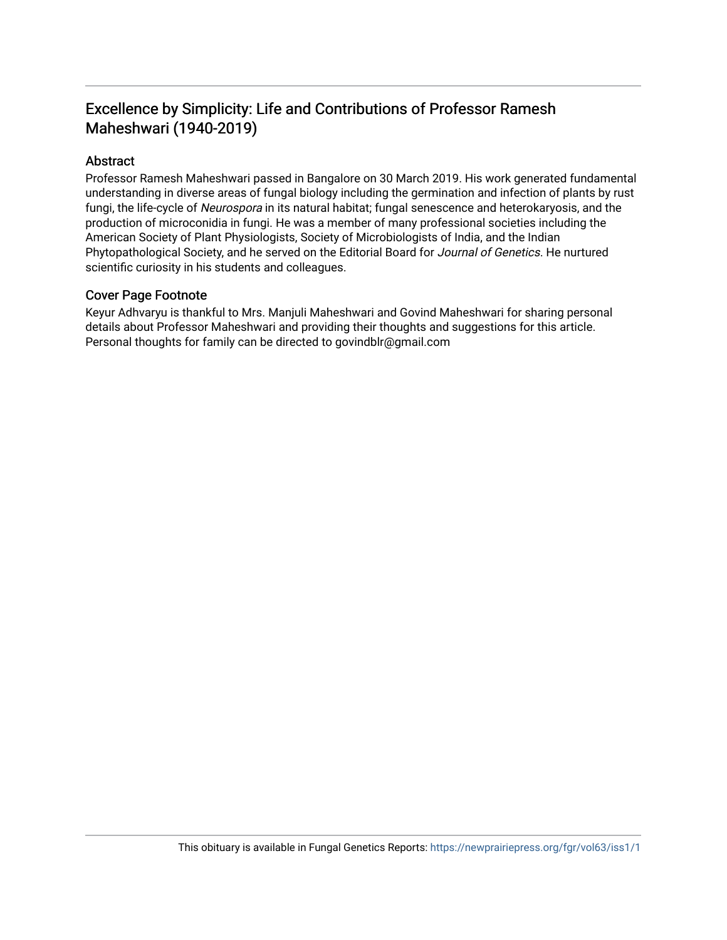## Excellence by Simplicity: Life and Contributions of Professor Ramesh Maheshwari (1940-2019)

#### Abstract

Professor Ramesh Maheshwari passed in Bangalore on 30 March 2019. His work generated fundamental understanding in diverse areas of fungal biology including the germination and infection of plants by rust fungi, the life-cycle of Neurospora in its natural habitat; fungal senescence and heterokaryosis, and the production of microconidia in fungi. He was a member of many professional societies including the American Society of Plant Physiologists, Society of Microbiologists of India, and the Indian Phytopathological Society, and he served on the Editorial Board for Journal of Genetics. He nurtured scientific curiosity in his students and colleagues.

#### Cover Page Footnote

Keyur Adhvaryu is thankful to Mrs. Manjuli Maheshwari and Govind Maheshwari for sharing personal details about Professor Maheshwari and providing their thoughts and suggestions for this article. Personal thoughts for family can be directed to govindblr@gmail.com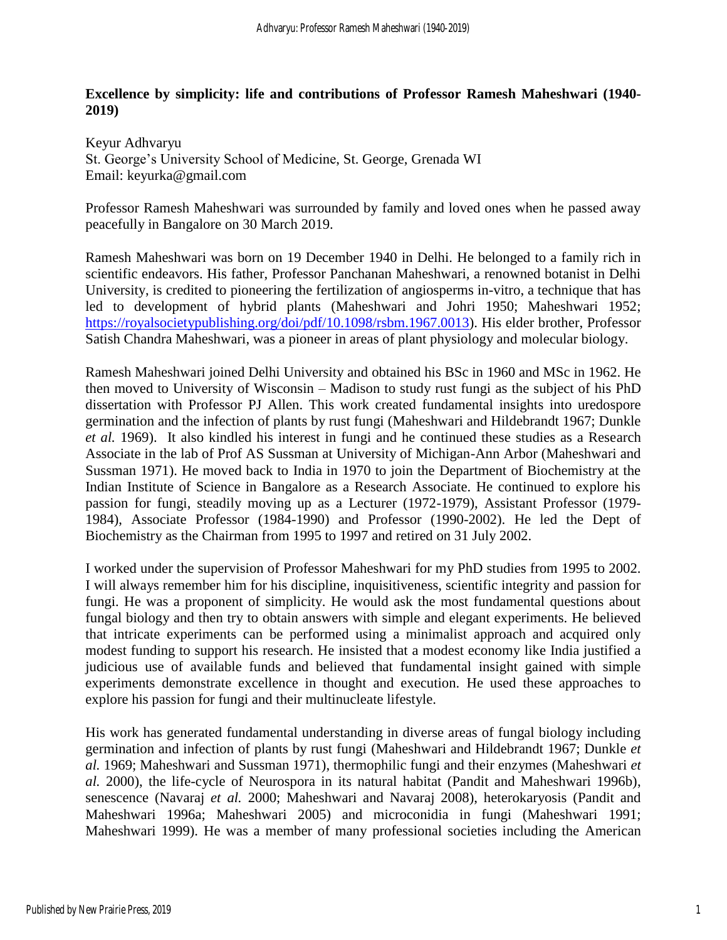#### **Excellence by simplicity: life and contributions of Professor Ramesh Maheshwari (1940- 2019)**

Keyur Adhvaryu St. George's University School of Medicine, St. George, Grenada WI Email: keyurka@gmail.com

Professor Ramesh Maheshwari was surrounded by family and loved ones when he passed away peacefully in Bangalore on 30 March 2019.

Ramesh Maheshwari was born on 19 December 1940 in Delhi. He belonged to a family rich in scientific endeavors. His father, Professor Panchanan Maheshwari, a renowned botanist in Delhi University, is credited to pioneering the fertilization of angiosperms in-vitro, a technique that has led to development of hybrid plants (Maheshwari and Johri 1950; Maheshwari 1952; [https://royalsocietypublishing.org/doi/pdf/10.1098/rsbm.1967.0013\)](https://royalsocietypublishing.org/doi/pdf/10.1098/rsbm.1967.0013). His elder brother, Professor Satish Chandra Maheshwari, was a pioneer in areas of plant physiology and molecular biology.

Ramesh Maheshwari joined Delhi University and obtained his BSc in 1960 and MSc in 1962. He then moved to University of Wisconsin – Madison to study rust fungi as the subject of his PhD dissertation with Professor PJ Allen. This work created fundamental insights into uredospore germination and the infection of plants by rust fungi (Maheshwari and Hildebrandt 1967; Dunkle *et al.* 1969). It also kindled his interest in fungi and he continued these studies as a Research Associate in the lab of Prof AS Sussman at University of Michigan-Ann Arbor (Maheshwari and Sussman 1971). He moved back to India in 1970 to join the Department of Biochemistry at the Indian Institute of Science in Bangalore as a Research Associate. He continued to explore his passion for fungi, steadily moving up as a Lecturer (1972-1979), Assistant Professor (1979- 1984), Associate Professor (1984-1990) and Professor (1990-2002). He led the Dept of Biochemistry as the Chairman from 1995 to 1997 and retired on 31 July 2002.

I worked under the supervision of Professor Maheshwari for my PhD studies from 1995 to 2002. I will always remember him for his discipline, inquisitiveness, scientific integrity and passion for fungi. He was a proponent of simplicity. He would ask the most fundamental questions about fungal biology and then try to obtain answers with simple and elegant experiments. He believed that intricate experiments can be performed using a minimalist approach and acquired only modest funding to support his research. He insisted that a modest economy like India justified a judicious use of available funds and believed that fundamental insight gained with simple experiments demonstrate excellence in thought and execution. He used these approaches to explore his passion for fungi and their multinucleate lifestyle.

His work has generated fundamental understanding in diverse areas of fungal biology including germination and infection of plants by rust fungi (Maheshwari and Hildebrandt 1967; Dunkle *et al.* 1969; Maheshwari and Sussman 1971), thermophilic fungi and their enzymes (Maheshwari *et al.* 2000), the life-cycle of Neurospora in its natural habitat (Pandit and Maheshwari 1996b), senescence (Navaraj *et al.* 2000; Maheshwari and Navaraj 2008), heterokaryosis (Pandit and Maheshwari 1996a; Maheshwari 2005) and microconidia in fungi (Maheshwari 1991; Maheshwari 1999). He was a member of many professional societies including the American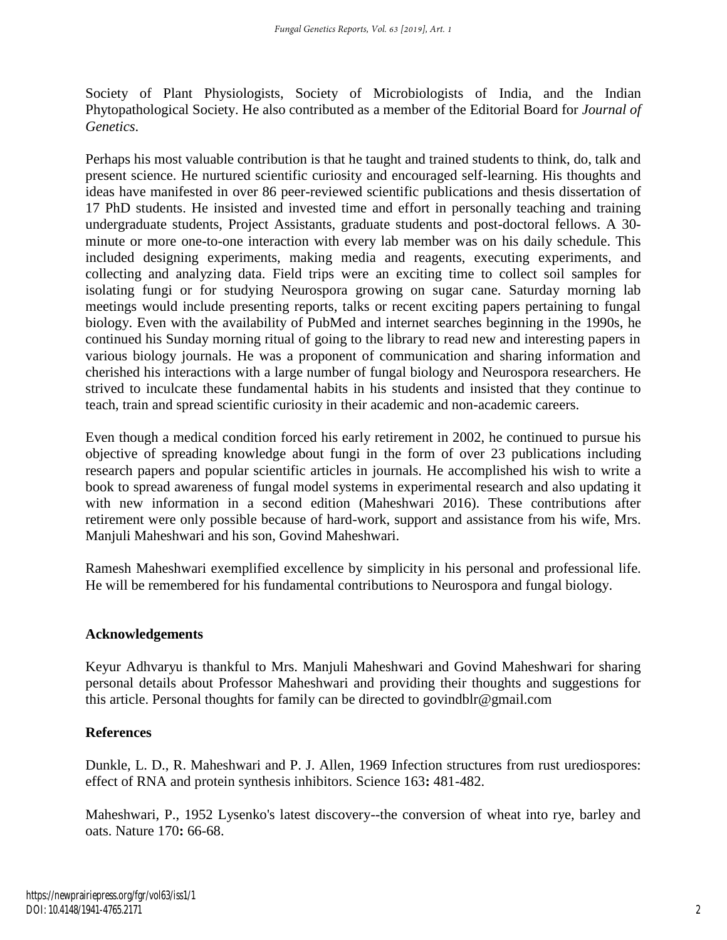Society of Plant Physiologists, Society of Microbiologists of India, and the Indian Phytopathological Society. He also contributed as a member of the Editorial Board for *Journal of Genetics*.

Perhaps his most valuable contribution is that he taught and trained students to think, do, talk and present science. He nurtured scientific curiosity and encouraged self-learning. His thoughts and ideas have manifested in over 86 peer-reviewed scientific publications and thesis dissertation of 17 PhD students. He insisted and invested time and effort in personally teaching and training undergraduate students, Project Assistants, graduate students and post-doctoral fellows. A 30 minute or more one-to-one interaction with every lab member was on his daily schedule. This included designing experiments, making media and reagents, executing experiments, and collecting and analyzing data. Field trips were an exciting time to collect soil samples for isolating fungi or for studying Neurospora growing on sugar cane. Saturday morning lab meetings would include presenting reports, talks or recent exciting papers pertaining to fungal biology. Even with the availability of PubMed and internet searches beginning in the 1990s, he continued his Sunday morning ritual of going to the library to read new and interesting papers in various biology journals. He was a proponent of communication and sharing information and cherished his interactions with a large number of fungal biology and Neurospora researchers. He strived to inculcate these fundamental habits in his students and insisted that they continue to teach, train and spread scientific curiosity in their academic and non-academic careers.

Even though a medical condition forced his early retirement in 2002, he continued to pursue his objective of spreading knowledge about fungi in the form of over 23 publications including research papers and popular scientific articles in journals. He accomplished his wish to write a book to spread awareness of fungal model systems in experimental research and also updating it with new information in a second edition (Maheshwari 2016). These contributions after retirement were only possible because of hard-work, support and assistance from his wife, Mrs. Manjuli Maheshwari and his son, Govind Maheshwari.

Ramesh Maheshwari exemplified excellence by simplicity in his personal and professional life. He will be remembered for his fundamental contributions to Neurospora and fungal biology.

## **Acknowledgements**

Keyur Adhvaryu is thankful to Mrs. Manjuli Maheshwari and Govind Maheshwari for sharing personal details about Professor Maheshwari and providing their thoughts and suggestions for this article. Personal thoughts for family can be directed to govindblr@gmail.com

## **References**

Dunkle, L. D., R. Maheshwari and P. J. Allen, 1969 Infection structures from rust urediospores: effect of RNA and protein synthesis inhibitors. Science 163**:** 481-482.

Maheshwari, P., 1952 Lysenko's latest discovery--the conversion of wheat into rye, barley and oats. Nature 170**:** 66-68.